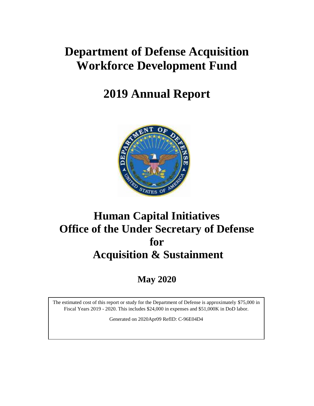# **Department of Defense Acquisition Workforce Development Fund**

# **2019 Annual Report**



# **Human Capital Initiatives Office of the Under Secretary of Defense for Acquisition & Sustainment**

**May 2020**

The estimated cost of this report or study for the Department of Defense is approximately \$75,000 in Fiscal Years 2019 - 2020. This includes \$24,000 in expenses and \$51,000K in DoD labor.

Generated on 2020Apr09 RefID: C-96E04D4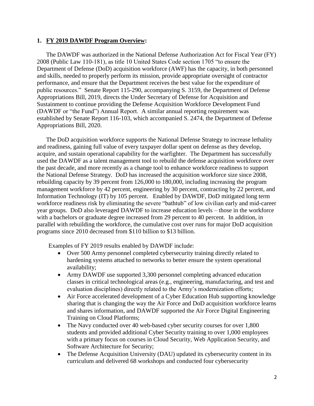## **1. FY 2019 DAWDF Program Overview:**

The DAWDF was authorized in the National Defense Authorization Act for Fiscal Year (FY) 2008 (Public Law 110-181), as title 10 United States Code section 1705 "to ensure the Department of Defense (DoD) acquisition workforce (AWF) has the capacity, in both personnel and skills, needed to properly perform its mission, provide appropriate oversight of contractor performance, and ensure that the Department receives the best value for the expenditure of public resources." Senate Report 115-290, accompanying S. 3159, the Department of Defense Appropriations Bill, 2019, directs the Under Secretary of Defense for Acquisition and Sustainment to continue providing the Defense Acquisition Workforce Development Fund (DAWDF or "the Fund") Annual Report. A similar annual reporting requirement was established by Senate Report 116-103, which accompanied S. 2474, the Department of Defense Appropriations Bill, 2020.

The DoD acquisition workforce supports the National Defense Strategy to increase lethality and readiness, gaining full value of every taxpayer dollar spent on defense as they develop, acquire, and sustain operational capability for the warfighter. The Department has successfully used the DAWDF as a talent management tool to rebuild the defense acquisition workforce over the past decade, and more recently as a change tool to enhance workforce readiness to support the National Defense Strategy. DoD has increased the acquisition workforce size since 2008, rebuilding capacity by 39 percent from 126,000 to 180,000, including increasing the program management workforce by 42 percent, engineering by 30 percent, contracting by 22 percent, and Information Technology (IT) by 105 percent. Enabled by DAWDF, DoD mitigated long term workforce readiness risk by eliminating the severe "bathtub" of low civilian early and mid-career year groups. DoD also leveraged DAWDF to increase education levels – those in the workforce with a bachelors or graduate degree increased from 29 percent to 40 percent. In addition, in parallel with rebuilding the workforce, the cumulative cost over runs for major DoD acquisition programs since 2010 decreased from \$110 billion to \$13 billion.

Examples of FY 2019 results enabled by DAWDF include:

- Over 500 Army personnel completed cybersecurity training directly related to hardening systems attached to networks to better ensure the system operational availability;
- Army DAWDF use supported 3,300 personnel completing advanced education classes in critical technological areas (e.g., engineering, manufacturing, and test and evaluation disciplines) directly related to the Army's modernization efforts;
- Air Force accelerated development of a Cyber Education Hub supporting knowledge sharing that is changing the way the Air Force and DoD acquisition workforce learns and shares information, and DAWDF supported the Air Force Digital Engineering Training on Cloud Platforms;
- The Navy conducted over 40 web-based cyber security courses for over 1,800 students and provided additional Cyber Security training to over 1,000 employees with a primary focus on courses in Cloud Security, Web Application Security, and Software Architecture for Security;
- The Defense Acquisition University (DAU) updated its cybersecurity content in its curriculum and delivered 68 workshops and conducted four cybersecurity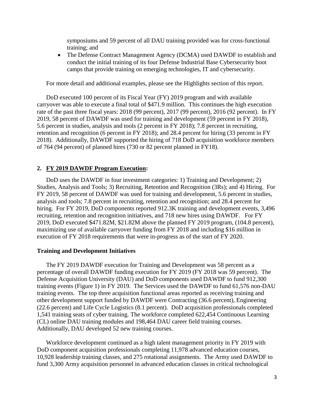symposiums and 59 percent of all DAU training provided was for cross-functional training; and

• The Defense Contract Management Agency (DCMA) used DAWDF to establish and conduct the initial training of its four Defense Industrial Base Cybersecurity boot camps that provide training on emerging technologies, IT and cybersecurity.

For more detail and additional examples, please see the Highlights section of this report.

DoD executed 100 percent of its Fiscal Year (FY) 2019 program and with available carryover was able to execute a final total of \$471.9 million. This continues the high execution rate of the past three fiscal years: 2018 (99 percent), 2017 (99 percent), 2016 (92 percent). In FY 2019, 58 percent of DAWDF was used for training and development (59 percent in FY 2018), 5.6 percent in studies, analysis and tools (2 percent in FY 2018); 7.8 percent in recruiting, retention and recognition (6 percent in FY 2018); and 28.4 percent for hiring (33 percent in FY 2018). Additionally, DAWDF supported the hiring of 718 DoD acquisition workforce members of 764 (94 percent) of planned hires (730 or 82 percent planned in FY18).

## **2. FY 2019 DAWDF Program Execution:**

DoD uses the DAWDF in four investment categories: 1) Training and Development; 2) Studies, Analysis and Tools; 3) Recruiting, Retention and Recognition (3Rs); and 4) Hiring. For FY 2019, 58 percent of DAWDF was used for training and development, 5.6 percent in studies, analysis and tools; 7.8 percent in recruiting, retention and recognition; and 28.4 percent for hiring. For FY 2019, DoD components reported 912.3K training and development events, 3,496 recruiting, retention and recognition initiatives, and 718 new hires using DAWDF. For FY 2019, DoD executed \$471.82M, \$21.82M above the planned FY 2019 program, (104.8 percent), maximizing use of available carryover funding from FY 2018 and including \$16 million in execution of FY 2018 requirements that were in-progress as of the start of FY 2020.

## **Training and Development Initiatives**

The FY 2019 DAWDF execution for Training and Development was 58 percent as a percentage of overall DAWDF funding execution for FY 2019 (FY 2018 was 59 percent). The Defense Acquisition University (DAU) and DoD components used DAWDF to fund 912,300 training events (Figure 1) in FY 2019. The Services used the DAWDF to fund 61,576 non-DAU training events. The top three acquisition functional areas reported as receiving training and other development support funded by DAWDF were Contracting (36.6 percent), Engineering (22.6 percent) and Life Cycle Logistics (8.1 percent). DoD acquisition professionals completed 1,541 training seats of cyber training. The workforce completed 622,454 Continuous Learning (CL) online DAU training modules and 198,464 DAU career field training courses. Additionally, DAU developed 52 new training courses.

Workforce development continued as a high talent management priority in FY 2019 with DoD component acquisition professionals completing 11,978 advanced education courses, 10,928 leadership training classes, and 275 rotational assignments. The Army used DAWDF to fund 3,300 Army acquisition personnel in advanced education classes in critical technological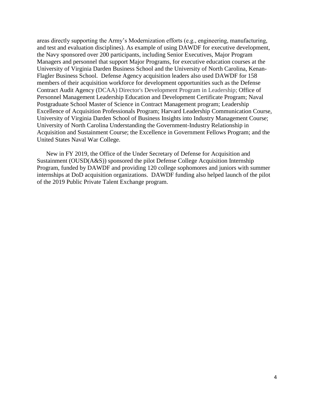areas directly supporting the Army's Modernization efforts (e.g., engineering, manufacturing, and test and evaluation disciplines). As example of using DAWDF for executive development, the Navy sponsored over 200 participants, including Senior Executives, Major Program Managers and personnel that support Major Programs, for executive education courses at the University of Virginia Darden Business School and the University of North Carolina, Kenan-Flagler Business School. Defense Agency acquisition leaders also used DAWDF for 158 members of their acquisition workforce for development opportunities such as the Defense Contract Audit Agency (DCAA) Director's Development Program in Leadership; Office of Personnel Management Leadership Education and Development Certificate Program; Naval Postgraduate School Master of Science in Contract Management program; Leadership Excellence of Acquisition Professionals Program; Harvard Leadership Communication Course, University of Virginia Darden School of Business Insights into Industry Management Course; University of North Carolina Understanding the Government-Industry Relationship in Acquisition and Sustainment Course; the Excellence in Government Fellows Program; and the United States Naval War College.

New in FY 2019, the Office of the Under Secretary of Defense for Acquisition and Sustainment (OUSD(A&S)) sponsored the pilot Defense College Acquisition Internship Program, funded by DAWDF and providing 120 college sophomores and juniors with summer internships at DoD acquisition organizations. DAWDF funding also helped launch of the pilot of the 2019 Public Private Talent Exchange program.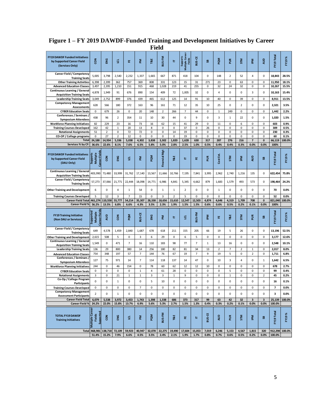|                                                                                      |                                                                      |                        |                |                |                | r ieia        |                       |                |                                       |                |                        |                |                        |                  |                         |                |                      |                  |
|--------------------------------------------------------------------------------------|----------------------------------------------------------------------|------------------------|----------------|----------------|----------------|---------------|-----------------------|----------------|---------------------------------------|----------------|------------------------|----------------|------------------------|------------------|-------------------------|----------------|----------------------|------------------|
| <b>FY19 DAWDF Funded Initiatives</b><br>by Supported Career Field<br>(Services Only) | š                                                                    | ENG                    | ਕੁ             | 뿐              | 돋              | T&E           | <b>BUS-FM</b>         | Е              | Multiple Career<br>Supports<br>Fields | <b>BUS-CE</b>  | 59                     | PQM            | 5m                     | $\sum_{i=1}^{n}$ | <b>Mdi</b>              | gun            | FY19 Total           | FY19%            |
| Career Field / Competency<br><b>Training Seats</b>                                   | 5,005                                                                | 3,798                  | 2,540          | 2,232          | 1,337          | 1,665         | 667                   | 871            | 418                                   | 104            | 0                      | 148            | $\overline{2}$         | 52               | 4                       | 0              | 18,843               | 28.5%            |
| <b>Other Training Activities</b>                                                     | 6,398                                                                | 2,399                  | 362            | 757            | 369            | 808           | 331                   | 123            | 15                                    | 31             | 271                    | 23             | 0                      | 63               | 0                       | 0              | 11,950               | 18.1%            |
| <b>Advanced Education Classes</b>                                                    | 3,497                                                                | 2,395                  | 1,210          | 151            | 915            | 468           | 1,028                 | 219            | 41                                    | 255            | 0                      | 32             | 24                     | 32               | $\pmb{0}$               | 0              | 10,267               | 15.5%            |
| <b>Continuous Learning / General</b>                                                 | 4,878                                                                | 1,949                  | 91             | 676            | 890            | 154           | 409                   | 72             | 1,005                                 | 32             | 0                      | $\overline{4}$ | 0                      | $\pmb{0}$        | 3                       | 0              | 10,163               | 15.4%            |
| <b>Acquisition Training Seats</b><br><b>Leadership Training Seats</b>                | 3,049                                                                | 2,752                  | 899            | 376            | 439            | 465           | 612                   | 125            | 14                                    | 91             | 10                     | 40             | 0                      | 39               | 0                       | 0              | 8,911                | 13.5%            |
| <b>Competency Management</b>                                                         |                                                                      |                        |                |                |                |               |                       |                |                                       |                |                        |                |                        |                  |                         |                |                      |                  |
| <b>Assessments</b>                                                                   | 628                                                                  | 566                    | 180            | 372            | 163            | 96            | 161                   | 71             | 12                                    | 35             | 10                     | 25             | 0                      | $\overline{2}$   | $\pmb{0}$               | 0              | 2,321                | 3.5%             |
| <b>CYBER Education Seats</b>                                                         | $\pmb{0}$                                                            | 679                    | 26             | $\pmb{0}$      | 20             | 148           | $\overline{2}$        | 266            | $\overline{7}$                        | 44             | 0                      | $1\,$          | 249                    | 0                | $\pmb{0}$               | 0              | 1,442                | 2.2%             |
| Conferences / Seminars /                                                             | 438                                                                  | 96                     | $\overline{2}$ | 354            | 11             | 10            | 30                    | 44             | 0                                     | 9              | 0                      | 3              | 1                      | 22               | $\pmb{0}$               | 0              | 1,020                | 1.5%             |
| <b>Symposium Attendees</b><br><b>Workforce Planning Initiatives</b>                  | 82                                                                   | 229                    | 23             | 16             | 73             | 16            | 62                    | 15             | 41                                    | 29             | 0                      | 11             | $\mathbf 0$            | 6                | $\pmb{0}$               | 0              | 603                  | 0.9%             |
| <b>Training Courses Developed</b>                                                    | 162                                                                  | 42                     | $\mathbf 1$    | 20             | 13             | 8             | 0                     | 0              | 37                                    | 0              | 26                     | $\pmb{0}$      | 0                      | $\pmb{0}$        | 0                       | $\pmb{0}$      | 309                  | 0.5%             |
| <b>Rotational Assignments</b>                                                        | 51                                                                   | $\overline{2}$         | 0              | 72             | 72             | 0             | 0                     | 14             | 19                                    | 0              | 0                      | 0              | 0                      | 0                | $\pmb{0}$               | 0              | 230                  | 0.3%             |
| CO-OP / College programs                                                             | 0                                                                    | 27                     | $\overline{2}$ | 12             | $\mathbf 0$    | 0             | 0                     | 0              | 19                                    | $\mathbf 0$    | 0                      | 0              | 0                      | 0                | $\mathbf 0$             | 0              | 60                   | 0.1%             |
| <b>Total</b>                                                                         | 24,188                                                               | 14,934                 | 5,336          | 5,038          | 4,302          | 3,838         | 3,302                 | 1,820          | 1,628                                 | 630            | 317                    | 287            | 276                    | 216              | $\overline{\mathbf{z}}$ | $\mathbf 0$    | 66,119               | 100.0%           |
| Services % by CF:                                                                    | 36.6%                                                                | 22.6%                  | 8.1%           | 7.6%           | 6.5%           | 5.8%          | 5.0%                  | 2.8%           | 2.5%                                  | 1.0%           | 0.5%                   | 0.4%           | 0.4%                   | 0.3%             | 0.0%                    | 0.0%           | 100%                 |                  |
| <b>FY19 DAWDF Funded Initiatives</b><br>by Supported Career Field<br>(DAU Only)      | Career Fields<br>Supports<br>Multiple                                | š                      | <b>ENG</b>     | 룤              | ΣÃ             | ΡQΜ           | <b>S</b><br>Financial | T&E            | ᄇ                                     | 뿐              | ă                      | 嚣<br>Cost      | <b>SΤΜ</b>             | <b>Mdi</b>       | guy                     | 99             | FY19 Total           | ৯<br><b>FY19</b> |
| <b>Continuous Learning / General</b><br><b>Acquisition Training Seats</b>            | 403,990                                                              | 73,480                 | 33,999         | 31,762         | 17,140         | 13,567        | 11,666                | 10,766         | 7,195                                 | 7,841          | 3,995                  | 2,962          | 2,740                  | 1,216            | 135                     | 0              | 622,454              | 75.8%            |
| <b>Career Field / Competency</b><br><b>Training Seats</b>                            | 57,273                                                               | 37,066                 | 21,771         | 22,444         | 18,098         | 14,771        | 6,986                 | 4,841          | 5,345                                 | 4,662          | 879                    | 1,683          | 1,579                  | 493              | 573                     | 0              | 198,464              | 24.2%            |
| <b>Other Training and Development</b>                                                | 6                                                                    | $\mathbf 0$            | 4              | 1              | 54             | 0             | 1                     | $\mathbf{1}$   | $\overline{2}$                        | $\mathbf 0$    | 0                      | 1              | 0                      | 0                | $\mathbf 0$             | 0              | 70                   | 0.0%             |
|                                                                                      |                                                                      |                        |                |                |                |               |                       |                |                                       |                |                        |                |                        |                  |                         |                |                      |                  |
| <b>Training Courses Developed</b>                                                    | 5                                                                    | 12                     | 3              | $\overline{7}$ | 15             | 0             | 3                     | $\overline{2}$ | 5                                     | 0              | 0                      | 0              | 0                      | 0                | $\mathbf 0$             | 0              | 52                   | 0.0%             |
| <b>Career Field Total</b>                                                            | 461,274                                                              | 110,558                | 55,777         | 54,214         | 35,307         | 28,338        | 18,656                | 15,610         | 12,547                                | 12,503         | 4,874                  | 4,646          | 4,319                  | 1,709            | 708                     | $\mathbf 0$    | 821,040              | 100.0%           |
| <b>Career Field %</b>                                                                | 56.2%                                                                | 13.5%                  | 6.8%           | 6.6%           | 4.3%           | 3.5%          | 2.3%                  | 1.9%           | 1.5%                                  | 1.5%           | 0.6%                   | 0.6%           | 0.5%                   | 0.2%             | 0.1%                    | 0.0%           | 100%                 |                  |
| <b>FY19 Training Initiative</b><br>(Non DAU or Services)                             | Career Fields<br>Supported<br><b>Multiple</b>                        | QUA                    | š              | PQM            | <b>BUS-CE</b>  | ENG           | 돝                     | 트              | ₫                                     | <b>BUS-FM</b>  | M₫                     | 뿐              | T&E                    | 55               | ã                       | 99             | FY19 Total           | FY19%            |
| Career Field / Competency                                                            | 649                                                                  | 4,578                  | 1,459          | 2,840          | 1,687          | 678           | 618                   | 211            | 155                                   | 205            | 66                     | 19             | 5                      | 26               | $\pmb{0}$               | 0              | 13,196               | 52.5%            |
| <b>Training Seats</b><br><b>Other Training and Development</b>                       | 2,615                                                                | 508                    | 5              | $\pmb{0}$      | 3              | 6             | 29                    | 0              | 6                                     | 5              | 0                      | $\pmb{0}$      | 0                      | $\pmb{0}$        | $\pmb{0}$               | 0              | 3,177                | 12.6%            |
| <b>Continuous Learning / General</b>                                                 |                                                                      |                        |                |                |                |               |                       |                |                                       |                |                        |                |                        |                  |                         |                |                      |                  |
| <b>Acquisition Training Seats</b>                                                    | 1,549                                                                | $\mathsf 0$            | 471            | $\overline{7}$ | 16             | 110           | 183                   | 98             | 77                                    | 7              | $\mathbf{1}$           | 13             | 16                     | $\pmb{0}$        | $\pmb{0}$               | 0              | 2,548                | 10.1%            |
| <b>Leadership Training Seats</b>                                                     | 136                                                                  | 29                     | 800            | 380            | 14             | 256           | 180                   | 82             | 81                                    | 34             | 13                     | $\overline{2}$ | $\overline{7}$         | $\overline{2}$   | $\,1\,$                 | 0              | 2,017                | 8.0%             |
| <b>Advanced Education Classes</b>                                                    | 754                                                                  | 348                    | 197            | 57             | $\overline{7}$ | 144           | 76                    | 67             | 19                                    | $\overline{7}$ | 9                      | 19             | 5                      | 0                | $\overline{2}$          | $\mathbf 0$    | 1,711                | 6.8%             |
| Conferences / Seminars<br><b>Symposium Attendees</b>                                 | 127                                                                  | 75                     | 971            | 14             | $\overline{7}$ | 114           | 118                   | 137            | 14                                    | 47             | 0                      | 10             | 3                      | 4                | $\mathbf 0$             | $\mathbf{1}$   | 1,642                | 6.5%             |
| <b>Workforce Planning Initiatives</b>                                                | 244                                                                  | 0                      | 46             | 154            | 0              | 78            | 60                    | 62             | 12                                    | 12             | 10                     | 0              | $\mathbf 0$            | 0                | $\mathbf 0$             | 0              | 678                  | 2.7%             |
| <b>CYBER Education Seats</b>                                                         | 0                                                                    | $\mathbf 0$            | 0              | 0              | $\mathbf{1}$   | 4             | 61                    | 28             | 0                                     | $\mathbf 0$    | 0                      | 0              | 5                      | 0                | $\mathbf 0$             | 0              | 99                   | 0.4%             |
| <b>Rotational Assignments</b>                                                        | 3                                                                    | $\mathbf 0$            | 21             | $\mathbf{1}$   | $\mathbf{1}$   | 3             | 3                     | $\mathbf{1}$   | 9                                     | $\mathbf 0$    | 0                      | 0              | $\mathbf{1}$           | 0                | $\mathbf 0$             | $\overline{2}$ | 45                   | 0.2%             |
| Co-Op / College Program<br>Participants                                              | 0                                                                    | $\mathsf 0$            | 1              | 0              | 0              | 5             | 10                    | 0              | 0                                     | 0              | 0                      | $\pmb{0}$      | 0                      | 0                | $\pmb{0}$               | 0              | 16                   | 0.1%             |
| <b>Training Courses Developed</b>                                                    | 0                                                                    | 0                      | $\pmb{0}$      | $\pmb{0}$      | $\overline{7}$ | 0             | 0                     | 0              | $\mathbf 0$                           | 0              | 0                      | $\pmb{0}$      | 0                      | $\pmb{0}$        | $\pmb{0}$               | 0              | $\overline{7}$       | 0.0%             |
| <b>Competency Management</b><br><b>Assessment Participants</b>                       | $\overline{2}$                                                       | $\mathbf 0$            | $\mathbf{1}$   | $\pmb{0}$      | 0              | 0             | 0                     | 0              | 0                                     | 0              | 0                      | $\mathbf 0$    | 0                      | $\mathbf 0$      | $\pmb{0}$               | 0              | з                    | 0.0%             |
| <b>Career Field Total</b>                                                            | 6,079                                                                | 5,538                  | 3,972          | 3,453          | 1,743          | 1,398         | 1,338                 | 686            | 373                                   | 317            | 99                     | 63             | 42                     | 32               | 3                       | 3              | 25,139               | 100.0%           |
| <b>Career Field %</b>                                                                | 24.2%                                                                | 22.0%                  | 15.8%          | 13.7%          | 6.9%           | 5.6%          | 5.3%                  | 2.7%           | 1.5%                                  | 1.3%           | 0.4%                   | 0.3%           | 0.2%                   | 0.1%             | 0.0%                    | 0.0%           | 100.0%               |                  |
| TOTAL FY19 DAWDF<br><b>Training Initiatives</b>                                      | <b>Multiple Caree</b><br><b>Supported</b><br>Fields<br>Total 468,981 | $\tilde{e}$<br>138,718 | ENG<br>72,109  | ਭੁ<br>59,923   | 홑<br>40,947    | PQM<br>32,078 | BUS-FM<br>22,275      | T&E<br>19,490  | 뿐<br>17,604                           | Е<br>15,053    | <b>BUS-CE</b><br>7,019 | gua<br>6,246   | $\frac{8}{2}$<br>5,153 | SТM<br>4,567     | 질<br>1,815              | GB<br>320      | FY19 Tota<br>912,298 | FY19%<br>100.0%  |

# **Figure 1 – FY 2019 DAWDF-Funded Training and Development Initiatives by Career Field**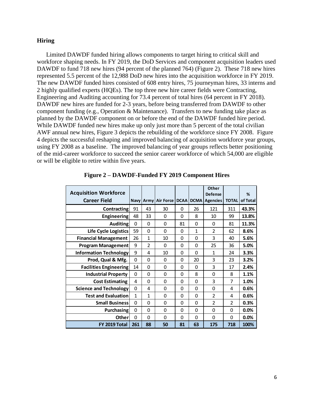## **Hiring**

Limited DAWDF funded hiring allows components to target hiring to critical skill and workforce shaping needs. In FY 2019, the DoD Services and component acquisition leaders used DAWDF to fund 718 new hires (94 percent of the planned 764) (Figure 2). These 718 new hires represented 5.5 percent of the 12,988 DoD new hires into the acquisition workforce in FY 2019. The new DAWDF funded hires consisted of 608 entry hires, 75 journeyman hires, 33 interns and 2 highly qualified experts (HQEs). The top three new hire career fields were Contracting, Engineering and Auditing accounting for 73.4 percent of total hires (64 percent in FY 2018). DAWDF new hires are funded for 2-3 years, before being transferred from DAWDF to other component funding (e.g., Operation & Maintenance). Transfers to new funding take place as planned by the DAWDF component on or before the end of the DAWDF funded hire period. While DAWDF funded new hires make up only just more than 5 percent of the total civilian AWF annual new hires, Figure 3 depicts the rebuilding of the workforce since FY 2008. Figure 4 depicts the successful reshaping and improved balancing of acquisition workforce year groups, using FY 2008 as a baseline. The improved balancing of year groups reflects better positioning of the mid-career workforce to succeed the senior career workforce of which 54,000 are eligible or will be eligible to retire within five years.

| <b>Acquisition Workforce</b>  |          |                |                  |          |              | Other<br><b>Defense</b> |              | %        |
|-------------------------------|----------|----------------|------------------|----------|--------------|-------------------------|--------------|----------|
| <b>Career Field</b>           |          | Navy   Army    | <b>Air Force</b> | DCAA     |              | <b>DCMA</b> Agencies    | <b>TOTAL</b> | of Total |
| <b>Contracting</b>            | 91       | 43             | 30               | 0        | 26           | 121                     | 311          | 43.3%    |
| <b>Engineering</b>            | 48       | 33             | 0                | 0        | 8            | 10                      | 99           | 13.8%    |
| <b>Auditing</b>               | $\Omega$ | 0              | $\Omega$         | 81       | 0            | 0                       | 81           | 11.3%    |
| Life Cycle Logistics          | 59       | 0              | $\Omega$         | $\Omega$ | $\mathbf{1}$ | $\mathfrak{p}$          | 62           | 8.6%     |
| <b>Financial Management</b>   | 26       | 1              | 10               | 0        | 0            | 3                       | 40           | 5.6%     |
| Program Management            | 9        | $\overline{2}$ | 0                | 0        | 0            | 25                      | 36           | 5.0%     |
| <b>Information Technology</b> | 9        | 4              | 10               | 0        | 0            | $\mathbf{1}$            | 24           | 3.3%     |
| Prod, Qual & Mfg.             | $\Omega$ | 0              | 0                | 0        | 20           | 3                       | 23           | 3.2%     |
| <b>Facilities Engineering</b> | 14       | 0              | 0                | 0        | 0            | 3                       | 17           | 2.4%     |
| <b>Industrial Property</b>    | $\Omega$ | 0              | 0                | 0        | 8            | 0                       | 8            | 1.1%     |
| <b>Cost Estimating</b>        | 4        | 0              | 0                | 0        | 0            | 3                       | 7            | 1.0%     |
| <b>Science and Technology</b> | $\Omega$ | 4              | $\Omega$         | $\Omega$ | 0            | 0                       | 4            | 0.6%     |
| <b>Test and Evaluation</b>    | 1        | 1              | 0                | 0        | 0            | $\overline{2}$          | 4            | 0.6%     |
| <b>Small Business</b>         | $\Omega$ | 0              | 0                | 0        | 0            | $\overline{2}$          | 2            | 0.3%     |
| <b>Purchasing</b>             | 0        | 0              | 0                | 0        | 0            | 0                       | 0            | 0.0%     |
| Other                         | $\Omega$ | 0              | $\Omega$         | 0        | 0            | 0                       | 0            | 0.0%     |
| FY 2019 Total                 | 261      | 88             | 50               | 81       | 63           | 175                     | 718          | 100%     |

**Figure 2 – DAWDF-Funded FY 2019 Component Hires**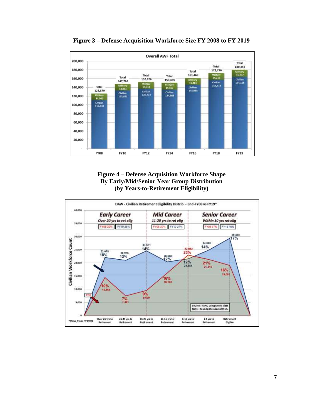

**Figure 3 – Defense Acquisition Workforce Size FY 2008 to FY 2019**



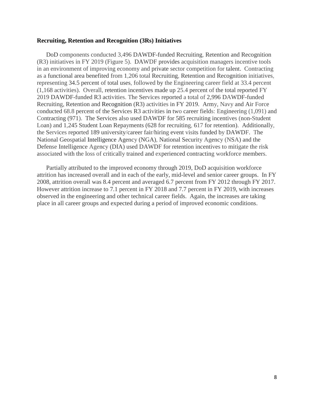## **Recruiting, Retention and Recognition (3Rs) Initiatives**

DoD components conducted 3,496 DAWDF-funded Recruiting, Retention and Recognition (R3) initiatives in FY 2019 (Figure 5). DAWDF provides acquisition managers incentive tools in an environment of improving economy and private sector competition for talent. Contracting as a functional area benefited from 1,206 total Recruiting, Retention and Recognition initiatives, representing 34.5 percent of total uses, followed by the Engineering career field at 33.4 percent (1,168 activities). Overall, retention incentives made up 25.4 percent of the total reported FY 2019 DAWDF-funded R3 activities. The Services reported a total of 2,996 DAWDF-funded Recruiting, Retention and Recognition (R3) activities in FY 2019. Army, Navy and Air Force conducted 68.8 percent of the Services R3 activities in two career fields: Engineering (1,091) and Contracting (971). The Services also used DAWDF for 585 recruiting incentives (non-Student Loan) and 1,245 Student Loan Repayments (628 for recruiting, 617 for retention). Additionally, the Services reported 189 university/career fair/hiring event visits funded by DAWDF. The National Geospatial Intelligence Agency (NGA), National Security Agency (NSA) and the Defense Intelligence Agency (DIA) used DAWDF for retention incentives to mitigate the risk associated with the loss of critically trained and experienced contracting workforce members.

 Partially attributed to the improved economy through 2019, DoD acquisition workforce attrition has increased overall and in each of the early, mid-level and senior career groups. In FY 2008, attrition overall was 8.4 percent and averaged 6.7 percent from FY 2012 through FY 2017. However attrition increase to 7.1 percent in FY 2018 and 7.7 percent in FY 2019, with increases observed in the engineering and other technical career fields. Again, the increases are taking place in all career groups and expected during a period of improved economic conditions.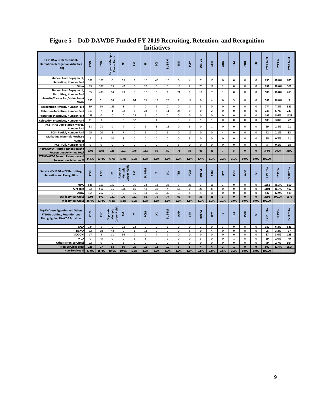|                                                                                                                   |                |                |                                      |                                              |                   |                | пппан          | w                      |                |                  |                            |                            |                                     |                      |                            |                          |                |                                           |                        |
|-------------------------------------------------------------------------------------------------------------------|----------------|----------------|--------------------------------------|----------------------------------------------|-------------------|----------------|----------------|------------------------|----------------|------------------|----------------------------|----------------------------|-------------------------------------|----------------------|----------------------------|--------------------------|----------------|-------------------------------------------|------------------------|
| <b>FY19 DAWDF Recruitment,</b><br><b>Retention, Recognition Activities</b><br>(A  )                               | č              | ENG            | Supports Multiple<br>Career Fields   | 쁥                                            | ΣĀ                | Е              | $\overline{a}$ | BUS-FM                 | T&E            | MDd              | BUS-CE                     | <b>STM</b>                 | gua                                 | <b>Md</b>            | ã                          | $\mathbf{s}$             | FY19 Total     | FY19%                                     | FY18 Total             |
| <b>Student Loan Repayment,</b><br><b>Retention, Number Paid</b>                                                   | 351            | 167            | 0                                    | 25                                           | 5                 | 16             | 46             | 16                     | 6              | $\overline{4}$   | $\overline{7}$             | 13                         | 0                                   | 0                    | $\mathbf 0$                | $\mathbf 0$              | 656            | 18.8%                                     | 675                    |
| Other                                                                                                             | 93             | 397            | 15                                   | 47                                           | 0                 | 29             | 6              | 5                      | 19             | $\overline{2}$   | 25                         | 11                         | $\overline{2}$                      | 0                    | $\pmb{0}$                  | $\mathbf 0$              | 651            | 18.6%                                     | 361                    |
| <b>Student Loan Repayment,</b><br><b>Recruiting, Number Paid</b>                                                  | 55             | 439            | 14                                   | 23                                           | $\pmb{0}$         | 10             | 6              | 1                      | 21             | $\mathbf{1}$     | 11                         | $\overline{7}$             | $\mathbf{1}$                        | 0                    | 0                          | $\mathbf 0$              | 589            | 16.8%                                     | 453                    |
| <b>University/Career Fair/Hiring Event</b><br><b>Visits</b>                                                       | 285            | 51             | 34                                   | 43                                           | 84                | 21             | 18             | 28                     | $\overline{2}$ | 14               | 0                          | $\overline{4}$             | 0                                   | 5                    | 0                          | $\mathbf 0$              | 589            | 16.8%                                     | 9                      |
| <b>Recognition Awards, Number Paid</b>                                                                            | 39             | 54             | 158                                  | 8                                            | $\overline{4}$    | $\mathbf 0$    | 5              | $\Omega$               | 0              | $\mathbf{1}$     | 5                          | $\mathbf 0$                | $\Omega$                            | 0                    | 0                          | $\mathbf 0$              | 274            | 7.8%                                      | 381                    |
| Retention Incentive, Number Paid                                                                                  | 119            | $\overline{7}$ | $\mathbf{1}$                         | 38                                           | $\overline{3}$    | 24             | 4              | 11                     | 24             | $\Omega$         | $\Omega$                   | $\overline{2}$             | $\Omega$                            | $\Omega$             | $\Omega$                   | $\Omega$                 | 233            | 6.7%                                      | 233                    |
| <b>Recruiting Incentives, Number Paid</b>                                                                         | 163            | 0              | 0                                    | 0                                            | 28                | 6              | 0              | 0                      | $\mathbf 0$    | $\mathbf 0$      | 0                          | $\mathbf 0$                | 0                                   | 0                    | $\mathbf 0$                | $\mathbf 0$              | 197            | 5.6%                                      | 1123                   |
| Relocation Incentives, Number Paid                                                                                | 41             | 3              | $\mathbf 0$                          | 3                                            | 52                | $\mathbf 0$    | $\mathbf{1}$   | 3                      | $\mathbf 1$    | $\mathbf 0$      | $\mathbf{1}$               | $\mathbf{1}$               | 0                                   | 0                    | $\mathbf 0$                | $\mathbf 0$              | 106            | 3.0%                                      | 72                     |
| <b>PCS - First Duty Station Moves,</b><br><b>Number Paid</b>                                                      | 38             | 28             | 0                                    | $\overline{4}$                               | 0                 | 5              | 3              | 11                     | 0              | 9                | 0                          | 1                          | 0                                   | 0                    | 0                          | $\mathbf 0$              | 99             | 2.8%                                      | 21                     |
| PCS - Partial, Number Paid                                                                                        | 15             | 20             | 3                                    | $\overline{7}$                               | $\pmb{0}$         | $1\,$          | $\mathbf 0$    | 5                      | 0              | 17               | 0                          | $\mathbf 0$                | $\overline{4}$                      | 0                    | $\pmb{0}$                  | $\pmb{0}$                | 72             | 2.1%                                      | 33                     |
| <b>Marketing Materials Purchase</b><br>Number                                                                     | $\overline{7}$ | $\overline{2}$ | 10                                   | 3                                            | $\mathsf 0$       | $\mathbf 0$    | 0              | 0                      | $\mathbf 0$    | 3                | 0                          | 0                          | 0                                   | 0                    | 0                          | $\mathbf 0$              | 25             | 0.7%                                      | 11                     |
| PCS - Full, Number Paid                                                                                           | $\mathbf 0$    | 0              | $\mathbf 0$                          | 0                                            | $\pmb{0}$         | $\mathbf 0$    | 0              | 0                      | 5              | 0                | 0                          | 0                          | 0                                   | 0                    | 0                          | 0                        | 5              | 0.1%                                      | 18                     |
| FY19 DAWDF Recruit, Retention and<br><b>Recognition Activities Total</b>                                          | 1206           | 1168           | 235                                  | 201                                          | 176               | 112            | 89             | 80                     | 78             | 51               | 49                         | 39                         | $\overline{7}$                      | 5                    | $\pmb{0}$                  | $\mathbf{0}$             | 3496           | 100%                                      | 3390                   |
| <b>FY19 DAWDF Recruit, Retention and</b><br><b>Recognition Activities %</b>                                       | 34.5%          | 33.4%          | 6.7%                                 | 5.7%                                         | 5.0%              | 3.2%           | 2.5%           | 2.3%                   | 2.2%           | 1.5%             | 1.4%                       | 1.1%                       | 0.2%                                | 0.1%                 | 0.0%                       | 0.0%                     | 100.0%         |                                           |                        |
| <b>Services FY19 DAWDF Recruiting,</b><br><b>Retention and Recognition</b>                                        | č              | ENG            | 뿐                                    | <b>Career Fields</b><br>Multiple<br>Supports | ΣÑ                | <b>BUS-FM</b>  | Е              | ਭੁ                     | T&E            | <b>MDd</b>       | BUS-CE                     | <b>STM</b>                 | <b>Mdi</b>                          | ã                    | <b>S</b>                   | æ                        | FY19 Total     | $\boldsymbol{\mathcal{S}}$<br><b>FY19</b> | FY18 Total             |
| Navy                                                                                                              | 845            | 153            | 147                                  | 0                                            | 70                | 33             | 13             | 36                     | 3              | 36               | 3                          | 16                         | 3                                   | 0                    | 0                          | $\mathbf 0$              | 1358           | 45.3%                                     | 650                    |
| <b>Air Force</b>                                                                                                  | 92             | 566            | 35                                   | 168                                          | 66                | 42             | 36             | 4                      | 56             | $\mathbf 0$      | 28                         | 8                          | 0                                   | $\Omega$             | 0                          | $\Omega$                 | 1101           | 36.7%                                     | 407                    |
| Army                                                                                                              | 154            | 252            | 0                                    | 5                                            | 15                | 11             | 30             | 37                     | 10             | 8                | $\overline{a}$             | 11                         | $\Omega$                            | $\Omega$             | $\Omega$                   | $\Omega$                 | 537            | 17.9%                                     | 519                    |
| <b>Total (Services Only)</b>                                                                                      | 1091           | 971<br>32.4%   | 182<br>6.1%                          | 173<br>5.8%                                  | 151<br>5.0%       | 86<br>2.9%     | 79<br>2.6%     | 77<br>2.6%             | 69<br>2.3%     | 44<br>1.5%       | 35<br>1.2%                 | 35<br>1.2%                 | $\overline{\mathbf{3}}$<br>0.1%     | $\mathbf{0}$<br>0.0% | $\mathbf{0}$<br>0.0%       | $\mathbf{0}$<br>0.0%     | 2996<br>100.0% | 100.0%                                    | 1576                   |
| % (Services Only)                                                                                                 | 36.4%          |                |                                      |                                              |                   |                |                |                        |                |                  |                            |                            |                                     |                      |                            |                          |                |                                           |                        |
| <b>Top Defense Agencies and Others</b><br>FY19 Recruiting, Retention and<br><b>Recognigition DAWDF Activities</b> | <b>S</b>       | ENG            | Career Field<br>Multiple<br>Supports | ΣĀ                                           | Е                 | <b>PQM</b>     | ᄛ              | BUS-FM                 | <b>QUA</b>     | <b>STM</b>       | <b>BUS-CE</b>              | 뎥                          | 뿐                                   | T&E                  | ã                          | æ                        | FY19 Total     | $\boldsymbol{\mathcal{S}}$<br>FY19        | FY <sub>18</sub> Total |
| <b>NGA</b>                                                                                                        | 134            | 5              | 0                                    | 12                                           | 24                | $\Omega$       | 0              | $\mathbf{1}$           | 0              | 0                | $\mathbf{1}$               | $\mathbf 0$                | 3                                   | 0                    | 0                          | 0                        | 180            | 6.3%                                      | 631                    |
| <b>DCMA</b>                                                                                                       | 12             | 18             | 42                                   | 0                                            | $\mathbf{1}$      | 13             | 0              | $\mathbf 0$            | 0              | 5                | 0                          | $\overline{4}$             | $\mathbf 0$                         | 0                    | $\pmb{0}$                  | 0                        | 95             | 3.3%                                      | 97                     |
| SOCOM                                                                                                             | 17             | 9              | 11                                   | 36                                           | $\pmb{0}$         | $\mathbf 0$    | $\overline{7}$ | $\overline{7}$         | 0              | $\pmb{0}$        | $\mathbf 0$                | $\mathbf 0$                | $\mathbf 0$                         | 0                    | $\pmb{0}$                  | $\mathbf 0$              | 87             | 3.0%                                      | 123                    |
| <b>MDA</b>                                                                                                        | $\mathbf 0$    | 45             | 0                                    | 0                                            | $\mathbf{1}$      | 3              | 4              | $\overline{2}$         | 0              | $\mathbf 0$      | $\overline{3}$             | $\mathbf 0$                | 0                                   | $\mathbf{1}$         | 0                          | $\mathbf 0$              | 59             | 2.0%                                      | 49                     |
|                                                                                                                   |                |                |                                      |                                              |                   |                |                |                        |                |                  |                            |                            |                                     |                      |                            |                          |                |                                           |                        |
| <b>Others (Non-Services)</b><br><b>Non-Services Total</b>                                                         | 72<br>235      | $\Omega$<br>77 | $\Omega$<br>53                       | $\overline{2}$<br>50                         | $\mathbf 0$<br>26 | $\Omega$<br>16 | $\Omega$<br>11 | $\Omega$<br>${\bf 10}$ | 5<br>5         | $\mathbf 0$<br>5 | $\Omega$<br>$\overline{a}$ | $\Omega$<br>$\overline{a}$ | $\Omega$<br>$\overline{\mathbf{3}}$ | 0<br>$\mathbf{1}$    | $\mathbf 0$<br>$\mathbf 0$ | $\Omega$<br>$\mathbf{0}$ | 79<br>500      | 2.7%<br>17.4%                             | 914<br>1814            |

# **Figure 5 – DoD DAWDF Funded FY 2019 Recruiting, Retention, and Recognition Initiatives**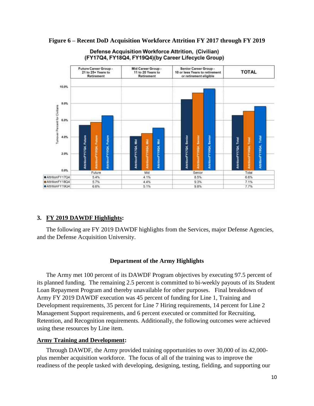

# **Figure 6 – Recent DoD Acquisition Workforce Attrition FY 2017 through FY 2019**

Defense Acquisition Workforce Attrition. (Civilian) (FY17Q4, FY18Q4, FY19Q4)(by Career Lifecycle Group)

# **3. FY 2019 DAWDF Highlights:**

 The following are FY 2019 DAWDF highlights from the Services, major Defense Agencies, and the Defense Acquisition University.

# **Department of the Army Highlights**

The Army met 100 percent of its DAWDF Program objectives by executing 97.5 percent of its planned funding. The remaining 2.5 percent is committed to bi-weekly payouts of its Student Loan Repayment Program and thereby unavailable for other purposes. Final breakdown of Army FY 2019 DAWDF execution was 45 percent of funding for Line 1, Training and Development requirements, 35 percent for Line 7 Hiring requirements, 14 percent for Line 2 Management Support requirements, and 6 percent executed or committed for Recruiting, Retention, and Recognition requirements. Additionally, the following outcomes were achieved using these resources by Line item.

# **Army Training and Development:**

Through DAWDF, the Army provided training opportunities to over 30,000 of its 42,000 plus member acquisition workforce. The focus of all of the training was to improve the readiness of the people tasked with developing, designing, testing, fielding, and supporting our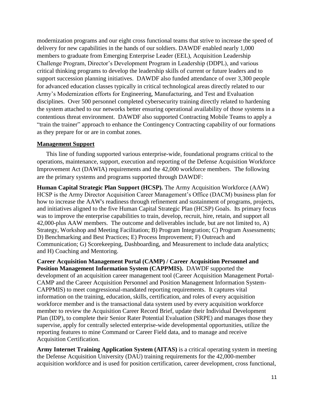modernization programs and our eight cross functional teams that strive to increase the speed of delivery for new capabilities in the hands of our soldiers. DAWDF enabled nearly 1,000 members to graduate from Emerging Enterprise Leader (EEL), Acquisition Leadership Challenge Program, Director's Development Program in Leadership (DDPL), and various critical thinking programs to develop the leadership skills of current or future leaders and to support succession planning initiatives. DAWDF also funded attendance of over 3,300 people for advanced education classes typically in critical technological areas directly related to our Army's Modernization efforts for Engineering, Manufacturing, and Test and Evaluation disciplines. Over 500 personnel completed cybersecurity training directly related to hardening the system attached to our networks better ensuring operational availability of those systems in a contentious threat environment. DAWDF also supported Contracting Mobile Teams to apply a "train the trainer" approach to enhance the Contingency Contracting capability of our formations as they prepare for or are in combat zones.

# **Management Support**

This line of funding supported various enterprise-wide, foundational programs critical to the operations, maintenance, support, execution and reporting of the Defense Acquisition Workforce Improvement Act (DAWIA) requirements and the 42,000 workforce members. The following are the primary systems and programs supported through DAWDF:

**Human Capital Strategic Plan Support (HCSP).** The Army Acquisition Workforce (AAW) HCSP is the Army Director Acquisition Career Management's Office (DACM) business plan for how to increase the AAW's readiness through refinement and sustainment of programs, projects, and initiatives aligned to the five Human Capital Strategic Plan (HCSP) Goals. Its primary focus was to improve the enterprise capabilities to train, develop, recruit, hire, retain, and support all 42,000-plus AAW members. The outcome and deliverables include, but are not limited to, A) Strategy, Workshop and Meeting Facilitation; B) Program Integration; C) Program Assessments; D) Benchmarking and Best Practices; E) Process Improvement; F) Outreach and Communication; G) Scorekeeping, Dashboarding, and Measurement to include data analytics; and H) Coaching and Mentoring.

**Career Acquisition Management Portal (CAMP) / Career Acquisition Personnel and Position Management Information System (CAPPMIS).** DAWDF supported the development of an acquisition career management tool (Career Acquisition Management Portal-CAMP and the Career Acquisition Personnel and Position Management Information System-CAPPMIS) to meet congressional-mandated reporting requirements. It captures vital information on the training, education, skills, certification, and roles of every acquisition workforce member and is the transactional data system used by every acquisition workforce member to review the Acquisition Career Record Brief, update their Individual Development Plan (IDP), to complete their Senior Rater Potential Evaluation (SRPE) and manages those they supervise, apply for centrally selected enterprise-wide developmental opportunities, utilize the reporting features to mine Command or Career Field data, and to manage and receive Acquisition Certification.

**Army Internet Training Application System (AITAS)** is a critical operating system in meeting the Defense Acquisition University (DAU) training requirements for the 42,000-member acquisition workforce and is used for position certification, career development, cross functional,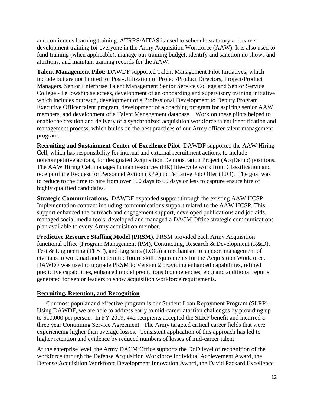and continuous learning training. ATRRS/AITAS is used to schedule statutory and career development training for everyone in the Army Acquisition Workforce (AAW). It is also used to fund training (when applicable), manage our training budget, identify and sanction no shows and attritions, and maintain training records for the AAW.

**Talent Management Pilot:** DAWDF supported Talent Management Pilot Initiatives, which include but are not limited to: Post-Utilization of Project/Product Directors, Project/Product Managers, Senior Enterprise Talent Management Senior Service College and Senior Service College - Fellowship selectees, development of an onboarding and supervisory training initiative which includes outreach, development of a Professional Development to Deputy Program Executive Officer talent program, development of a coaching program for aspiring senior AAW members, and development of a Talent Management database. Work on these pilots helped to enable the creation and delivery of a synchronized acquisition workforce talent identification and management process, which builds on the best practices of our Army officer talent management program.

**Recruiting and Sustainment Center of Excellence Pilot**. DAWDF supported the AAW Hiring Cell, which has responsibility for internal and external recruitment actions, to include noncompetitive actions, for designated Acquisition Demonstration Project (AcqDemo) positions. The AAW Hiring Cell manages human resources (HR) life-cycle work from Classification and receipt of the Request for Personnel Action (RPA) to Tentative Job Offer (TJO). The goal was to reduce to the time to hire from over 100 days to 60 days or less to capture ensure hire of highly qualified candidates.

**Strategic Communications.** DAWDF expanded support through the existing AAW HCSP Implementation contract including communications support related to the AAW HCSP. This support enhanced the outreach and engagement support, developed publications and job aids, managed social media tools, developed and managed a DACM Office strategic communications plan available to every Army acquisition member.

**Predictive Resource Staffing Model (PRSM)**. PRSM provided each Army Acquisition functional office (Program Management (PM), Contracting, Research & Development (R&D), Test & Engineering (TEST), and Logistics (LOG)) a mechanism to support management of civilians to workload and determine future skill requirements for the Acquisition Workforce. DAWDF was used to upgrade PRSM to Version 2 providing enhanced capabilities, refined predictive capabilities, enhanced model predictions (competencies, etc.) and additional reports generated for senior leaders to show acquisition workforce requirements.

# **Recruiting, Retention, and Recognition**

Our most popular and effective program is our Student Loan Repayment Program (SLRP). Using DAWDF, we are able to address early to mid-career attrition challenges by providing up to \$10,000 per person. In FY 2019, 442 recipients accepted the SLRP benefit and incurred a three year Continuing Service Agreement. The Army targeted critical career fields that were experiencing higher than average losses. Consistent application of this approach has led to higher retention and evidence by reduced numbers of losses of mid-career talent.

At the enterprise level, the Army DACM Office supports the DoD level of recognition of the workforce through the Defense Acquisition Workforce Individual Achievement Award, the Defense Acquisition Workforce Development Innovation Award, the David Packard Excellence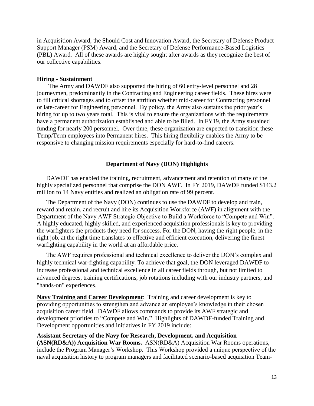in Acquisition Award, the Should Cost and Innovation Award, the Secretary of Defense Product Support Manager (PSM) Award, and the Secretary of Defense Performance-Based Logistics (PBL) Award. All of these awards are highly sought after awards as they recognize the best of our collective capabilities.

#### **Hiring - Sustainment**

The Army and DAWDF also supported the hiring of 60 entry-level personnel and 28 journeymen, predominantly in the Contracting and Engineering career fields. These hires were to fill critical shortages and to offset the attrition whether mid-career for Contracting personnel or late-career for Engineering personnel. By policy, the Army also sustains the prior year's hiring for up to two years total. This is vital to ensure the organizations with the requirements have a permanent authorization established and able to be filled. In FY19, the Army sustained funding for nearly 200 personnel. Over time, these organization are expected to transition these Temp/Term employees into Permanent hires. This hiring flexibility enables the Army to be responsive to changing mission requirements especially for hard-to-find careers.

#### **Department of Navy (DON) Highlights**

DAWDF has enabled the training, recruitment, advancement and retention of many of the highly specialized personnel that comprise the DON AWF. In FY 2019, DAWDF funded \$143.2 million to 14 Navy entities and realized an obligation rate of 99 percent.

The Department of the Navy (DON) continues to use the DAWDF to develop and train, reward and retain, and recruit and hire its Acquisition Workforce (AWF) in alignment with the Department of the Navy AWF Strategic Objective to Build a Workforce to "Compete and Win". A highly educated, highly skilled, and experienced acquisition professionals is key to providing the warfighters the products they need for success. For the DON, having the right people, in the right job, at the right time translates to effective and efficient execution, delivering the finest warfighting capability in the world at an affordable price.

The AWF requires professional and technical excellence to deliver the DON's complex and highly technical war-fighting capability. To achieve that goal, the DON leveraged DAWDF to increase professional and technical excellence in all career fields through, but not limited to advanced degrees, training certifications, job rotations including with our industry partners, and "hands-on" experiences.

**Navy Training and Career Development**: Training and career development is key to providing opportunities to strengthen and advance an employee's knowledge in their chosen acquisition career field. DAWDF allows commands to provide its AWF strategic and development priorities to "Compete and Win." Highlights of DAWDF-funded Training and Development opportunities and initiatives in FY 2019 include:

**Assistant Secretary of the Navy for Research, Development, and Acquisition (ASN(RD&A)) Acquisition War Rooms.** ASN(RD&A) Acquisition War Rooms operations, include the Program Manager's Workshop. This Workshop provided a unique perspective of the naval acquisition history to program managers and facilitated scenario-based acquisition Team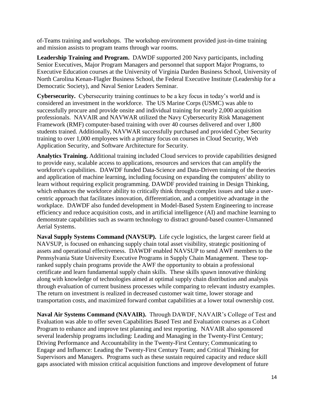of-Teams training and workshops. The workshop environment provided just-in-time training and mission assists to program teams through war rooms.

**Leadership Training and Program.** DAWDF supported 200 Navy participants, including Senior Executives, Major Program Managers and personnel that support Major Programs, to Executive Education courses at the University of Virginia Darden Business School, University of North Carolina Kenan-Flagler Business School, the Federal Executive Institute (Leadership for a Democratic Society), and Naval Senior Leaders Seminar.

**Cybersecurity.** Cybersecurity training continues to be a key focus in today's world and is considered an investment in the workforce. The US Marine Corps (USMC) was able to successfully procure and provide onsite and individual training for nearly 2,000 acquisition professionals. NAVAIR and NAVWAR utilized the Navy Cybersecurity Risk Management Framework (RMF) computer-based training with over 40 courses delivered and over 1,800 students trained. Additionally, NAVWAR successfully purchased and provided Cyber Security training to over 1,000 employees with a primary focus on courses in Cloud Security, Web Application Security, and Software Architecture for Security.

**Analytics Training.** Additional training included Cloud services to provide capabilities designed to provide easy, scalable access to applications, resources and services that can amplify the workforce's capabilities. DAWDF funded Data-Science and Data-Driven training of the theories and application of machine learning, including focusing on expanding the computers' ability to learn without requiring explicit programming. DAWDF provided training in Design Thinking, which enhances the workforce ability to critically think through complex issues and take a usercentric approach that facilitates innovation, differentiation, and a competitive advantage in the workplace. DAWDF also funded development in Model-Based System Engineering to increase efficiency and reduce acquisition costs, and in artificial intelligence (AI) and machine learning to demonstrate capabilities such as swarm technology to distract ground-based counter-Unmanned Aerial Systems.

**Naval Supply Systems Command (NAVSUP).** Life cycle logistics, the largest career field at NAVSUP, is focused on enhancing supply chain total asset visibility, strategic positioning of assets and operational effectiveness. DAWDF enabled NAVSUP to send AWF members to the Pennsylvania State University Executive Programs in Supply Chain Management. These topranked supply chain programs provide the AWF the opportunity to obtain a professional certificate and learn fundamental supply chain skills. These skills spawn innovative thinking along with knowledge of technologies aimed at optimal supply chain distribution and analysis through evaluation of current business processes while comparing to relevant industry examples. The return on investment is realized in decreased customer wait time, lower storage and transportation costs, and maximized forward combat capabilities at a lower total ownership cost.

**Naval Air Systems Command (NAVAIR).** Through DAWDF, NAVAIR's College of Test and Evaluation was able to offer seven Capabilities Based Test and Evaluation courses as a Cohort Program to enhance and improve test planning and test reporting. NAVAIR also sponsored several leadership programs including: Leading and Managing in the Twenty-First Century; Driving Performance and Accountability in the Twenty-First Century; Communicating to Engage and Influence: Leading the Twenty-First Century Team; and Critical Thinking for Supervisors and Managers. Programs such as these sustain required capacity and reduce skill gaps associated with mission critical acquisition functions and improve development of future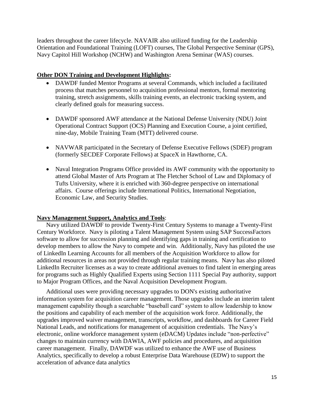leaders throughout the career lifecycle. NAVAIR also utilized funding for the Leadership Orientation and Foundational Training (LOFT) courses, The Global Perspective Seminar (GPS), Navy Capitol Hill Workshop (NCHW) and Washington Arena Seminar (WAS) courses.

# **Other DON Training and Development Highlights:**

- DAWDF funded Mentor Programs at several Commands, which included a facilitated process that matches personnel to acquisition professional mentors, formal mentoring training, stretch assignments, skills training events, an electronic tracking system, and clearly defined goals for measuring success.
- DAWDF sponsored AWF attendance at the National Defense University (NDU) Joint Operational Contract Support (OCS) Planning and Execution Course, a joint certified, nine-day, Mobile Training Team (MTT) delivered course.
- NAVWAR participated in the Secretary of Defense Executive Fellows (SDEF) program (formerly SECDEF Corporate Fellows) at SpaceX in Hawthorne, CA.
- Naval Integration Programs Office provided its AWF community with the opportunity to attend Global Master of Arts Program at The Fletcher School of Law and Diplomacy of Tufts University, where it is enriched with 360-degree perspective on international affairs. Course offerings include International Politics, International Negotiation, Economic Law, and Security Studies.

# **Navy Management Support, Analytics and Tools**:

Navy utilized DAWDF to provide Twenty-First Century Systems to manage a Twenty-First Century Workforce. Navy is piloting a Talent Management System using SAP SuccessFactors software to allow for succession planning and identifying gaps in training and certification to develop members to allow the Navy to compete and win. Additionally, Navy has piloted the use of LinkedIn Learning Accounts for all members of the Acquisition Workforce to allow for additional resources in areas not provided through regular training means. Navy has also piloted LinkedIn Recruiter licenses as a way to create additional avenues to find talent in emerging areas for programs such as Highly Qualified Experts using Section 1111 Special Pay authority, support to Major Program Offices, and the Naval Acquisition Development Program.

Additional uses were providing necessary upgrades to DON's existing authoritative information system for acquisition career management. Those upgrades include an interim talent management capability though a searchable "baseball card" system to allow leadership to know the positions and capability of each member of the acquisition work force. Additionally, the upgrades improved waiver management, transcripts, workflow, and dashboards for Career Field National Leads, and notifications for management of acquisition credentials. The Navy's electronic, online workforce management system (eDACM) Updates include "non-perfective" changes to maintain currency with DAWIA, AWF policies and procedures, and acquisition career management. Finally, DAWDF was utilized to enhance the AWF use of Business Analytics, specifically to develop a robust Enterprise Data Warehouse (EDW) to support the acceleration of advance data analytics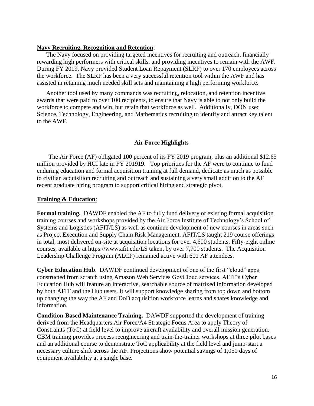## **Navy Recruiting, Recognition and Retention**:

The Navy focused on providing targeted incentives for recruiting and outreach, financially rewarding high performers with critical skills, and providing incentives to remain with the AWF. During FY 2019, Navy provided Student Loan Repayment (SLRP) to over 170 employees across the workforce. The SLRP has been a very successful retention tool within the AWF and has assisted in retaining much needed skill sets and maintaining a high performing workforce.

Another tool used by many commands was recruiting, relocation, and retention incentive awards that were paid to over 100 recipients, to ensure that Navy is able to not only build the workforce to compete and win, but retain that workforce as well. Additionally, DON used Science, Technology, Engineering, and Mathematics recruiting to identify and attract key talent to the AWF.

# **Air Force Highlights**

The Air Force (AF) obligated 100 percent of its FY 2019 program, plus an additional \$12.65 million provided by HCI late in FY 201919. Top priorities for the AF were to continue to fund enduring education and formal acquisition training at full demand, dedicate as much as possible to civilian acquisition recruiting and outreach and sustaining a very small addition to the AF recent graduate hiring program to support critical hiring and strategic pivot.

# **Training & Education**:

**Formal training.** DAWDF enabled the AF to fully fund delivery of existing formal acquisition training courses and workshops provided by the Air Force Institute of Technology's School of Systems and Logistics (AFIT/LS) as well as continue development of new courses in areas such as Project Execution and Supply Chain Risk Management. AFIT/LS taught 219 course offerings in total, most delivered on-site at acquisition locations for over 4,600 students. Fifty-eight online courses, available at https://www.afit.edu/LS taken, by over 7,700 students. The Acquisition Leadership Challenge Program (ALCP) remained active with 601 AF attendees.

**Cyber Education Hub**. DAWDF continued development of one of the first "cloud" apps constructed from scratch using Amazon Web Services GovCloud services. AFIT's Cyber Education Hub will feature an interactive, searchable source of matrixed information developed by both AFIT and the Hub users. It will support knowledge sharing from top down and bottom up changing the way the AF and DoD acquisition workforce learns and shares knowledge and information.

**Condition-Based Maintenance Training.** DAWDF supported the development of training derived from the Headquarters Air Force/A4 Strategic Focus Area to apply Theory of Constraints (ToC) at field level to improve aircraft availability and overall mission generation. CBM training provides process reengineering and train-the-trainer workshops at three pilot bases and an additional course to demonstrate ToC applicability at the field level and jump-start a necessary culture shift across the AF. Projections show potential savings of 1,050 days of equipment availability at a single base.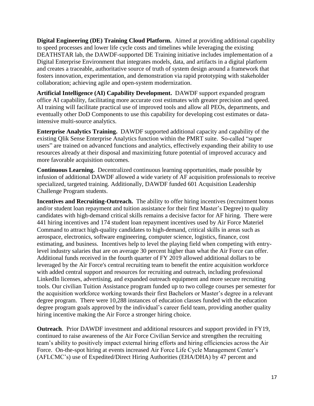**Digital Engineering (DE) Training Cloud Platform.** Aimed at providing additional capability to speed processes and lower life cycle costs and timelines while leveraging the existing DEATHSTAR lab, the DAWDF-supported DE Training initiative includes implementation of a Digital Enterprise Environment that integrates models, data, and artifacts in a digital platform and creates a traceable, authoritative source of truth of system design around a framework that fosters innovation, experimentation, and demonstration via rapid prototyping with stakeholder collaboration; achieving agile and open-system modernization.

**Artificial Intelligence (AI) Capability Development.** DAWDF support expanded program office AI capability, facilitating more accurate cost estimates with greater precision and speed. AI training will facilitate practical use of improved tools and allow all PEOs, departments, and eventually other DoD Components to use this capability for developing cost estimates or dataintensive multi-source analytics.

**Enterprise Analytics Training.** DAWDF supported additional capacity and capability of the existing Qlik Sense Enterprise Analytics function within the PMRT suite. So-called "super users" are trained on advanced functions and analytics, effectively expanding their ability to use resources already at their disposal and maximizing future potential of improved accuracy and more favorable acquisition outcomes.

**Continuous Learning.** Decentralized continuous learning opportunities, made possible by infusion of additional DAWDF allowed a wide variety of AF acquisition professionals to receive specialized, targeted training. Additionally, DAWDF funded 601 Acquisition Leadership Challenge Program students.

**Incentives and Recruiting-Outreach.** The ability to offer hiring incentives (recruitment bonus and/or student loan repayment and tuition assistance for their first Master's Degree) to quality candidates with high-demand critical skills remains a decisive factor for AF hiring. There were 441 hiring incentives and 174 student loan repayment incentives used by Air Force Materiel Command to attract high-quality candidates to high-demand, critical skills in areas such as aerospace, electronics, software engineering, computer science, logistics, finance, cost estimating, and business. Incentives help to level the playing field when competing with entrylevel industry salaries that are on average 30 percent higher than what the Air Force can offer. Additional funds received in the fourth quarter of FY 2019 allowed additional dollars to be leveraged by the Air Force's central recruiting team to benefit the entire acquisition workforce with added central support and resources for recruiting and outreach, including professional LinkedIn licenses, advertising, and expanded outreach equipment and more secure recruiting tools. Our civilian Tuition Assistance program funded up to two college courses per semester for the acquisition workforce working towards their first Bachelors or Master's degree in a relevant degree program. There were 10,288 instances of education classes funded with the education degree program goals approved by the individual's career field team, providing another quality hiring incentive making the Air Force a stronger hiring choice.

**Outreach**. Prior DAWDF investment and additional resources and support provided in FY19, continued to raise awareness of the Air Force Civilian Service and strengthen the recruiting team's ability to positively impact external hiring efforts and hiring efficiencies across the Air Force. On-the-spot hiring at events increased Air Force Life Cycle Management Center's (AFLCMC's) use of Expedited/Direct Hiring Authorities (EHA/DHA) by 47 percent and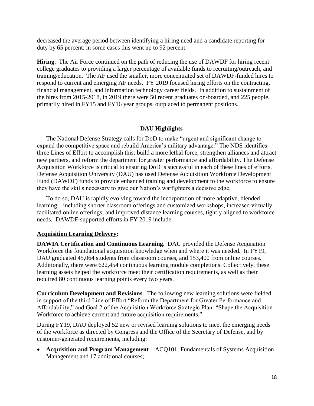decreased the average period between identifying a hiring need and a candidate reporting for duty by 65 percent; in some cases this went up to 92 percent.

**Hiring.** The Air Force continued on the path of reducing the use of DAWDF for hiring recent college graduates to providing a larger percentage of available funds to recruiting/outreach, and training/education. The AF used the smaller, more concentrated set of DAWDF-funded hires to respond to current and emerging AF needs. FY 2019 focused hiring efforts on the contracting, financial management, and information technology career fields. In addition to sustainment of the hires from 2015-2018, in 2019 there were 50 recent graduates on-boarded, and 225 people, primarily hired in FY15 and FY16 year groups, outplaced to permanent positions.

# **DAU Highlights**

The National Defense Strategy calls for DoD to make "urgent and significant change to expand the competitive space and rebuild America's military advantage." The NDS identifies three Lines of Effort to accomplish this: build a more lethal force, strengthen alliances and attract new partners, and reform the department for greater performance and affordability. The Defense Acquisition Workforce is critical to ensuring DoD is successful in each of these lines of efforts. Defense Acquisition University (DAU) has used Defense Acquisition Workforce Development Fund (DAWDF) funds to provide enhanced training and development to the workforce to ensure they have the skills necessary to give our Nation's warfighters a decisive edge.

To do so, DAU is rapidly evolving toward the incorporation of more adaptive, blended learning, including shorter classroom offerings and customized workshops, increased virtually facilitated online offerings; and improved distance learning courses, tightly aligned to workforce needs. DAWDF-supported efforts in FY 2019 include:

# **Acquisition Learning Delivery:**

**DAWIA Certification and Continuous Learning.** DAU provided the Defense Acquisition Workforce the foundational acquisition knowledge when and where it was needed. In FY19, DAU graduated 45,064 students from classroom courses, and 153,400 from online courses. Additionally, there were 622,454 continuous learning module completions. Collectively, these learning assets helped the workforce meet their certification requirements, as well as their required 80 continuous learning points every two years.

**Curriculum Development and Revisions**. The following new learning solutions were fielded in support of the third Line of Effort "Reform the Department for Greater Performance and Affordability;" and Goal 2 of the Acquisition Workforce Strategic Plan: "Shape the Acquisition Workforce to achieve current and future acquisition requirements."

During FY19, DAU deployed 52 new or revised learning solutions to meet the emerging needs of the workforce as directed by Congress and the Office of the Secretary of Defense, and by customer-generated requirements, including:

 **Acquisition and Program Management** – ACQ101: Fundamentals of Systems Acquisition Management and 17 additional courses;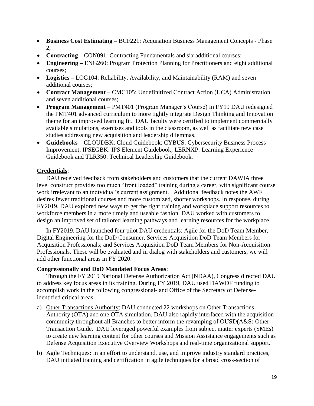- Business Cost Estimating BCF221: Acquisition Business Management Concepts Phase 2;
- **Contracting –** CON091: Contracting Fundamentals and six additional courses;
- **Engineering** ENG260: Program Protection Planning for Practitioners and eight additional courses;
- **Logistics –** LOG104: Reliability, Availability, and Maintainability (RAM) and seven additional courses;
- **Contract Management** CMC105: Undefinitized Contract Action (UCA) Administration and seven additional courses;
- **Program Management**  PMT401 (Program Manager's Course) In FY19 DAU redesigned the PMT401 advanced curriculum to more tightly integrate Design Thinking and Innovation theme for an improved learning fit. DAU faculty were certified to implement commercially available simulations, exercises and tools in the classroom, as well as facilitate new case studies addressing new acquisition and leadership dilemmas.
- **Guidebooks** CLOUDBK: Cloud Guidebook; CYBUS: Cybersecurity Business Process Improvement; IPSEGBK: IPS Element Guidebook; LERNXP: Learning Experience Guidebook and TLR350: Technical Leadership Guidebook.

# **Credentials**:

DAU received feedback from stakeholders and customers that the current DAWIA three level construct provides too much "front loaded" training during a career, with significant course work irrelevant to an individual's current assignment. Additional feedback notes the AWF desires fewer traditional courses and more customized, shorter workshops. In response, during FY2019, DAU explored new ways to get the right training and workplace support resources to workforce members in a more timely and useable fashion. DAU worked with customers to design an improved set of tailored learning pathways and learning resources for the workplace.

In FY2019, DAU launched four pilot DAU credentials: Agile for the DoD Team Member, Digital Engineering for the DoD Consumer, Services Acquisition DoD Team Members for Acquisition Professionals; and Services Acquisition DoD Team Members for Non-Acquisition Professionals. These will be evaluated and in dialog with stakeholders and customers, we will add other functional areas in FY 2020.

# **Congressionally and DoD Mandated Focus Areas**:

Through the FY 2019 National Defense Authorization Act (NDAA), Congress directed DAU to address key focus areas in its training. During FY 2019, DAU used DAWDF funding to accomplish work in the following congressional- and Office of the Secretary of Defenseidentified critical areas.

- a) Other Transactions Authority: DAU conducted 22 workshops on Other Transactions Authority (OTA) and one OTA simulation. DAU also rapidly interfaced with the acquisition community throughout all Branches to better inform the revamping of OUSD(A&S) Other Transaction Guide. DAU leveraged powerful examples from subject matter experts (SMEs) to create new learning content for other courses and Mission Assistance engagements such as Defense Acquisition Executive Overview Workshops and real-time organizational support.
- b) Agile Techniques: In an effort to understand, use, and improve industry standard practices, DAU initiated training and certification in agile techniques for a broad cross-section of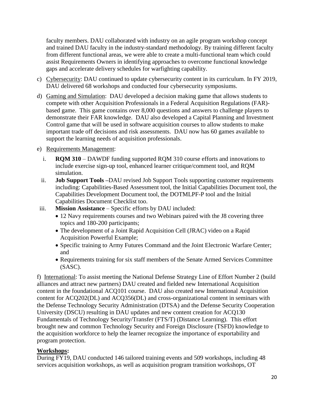faculty members. DAU collaborated with industry on an agile program workshop concept and trained DAU faculty in the industry-standard methodology. By training different faculty from different functional areas, we were able to create a multi-functional team which could assist Requirements Owners in identifying approaches to overcome functional knowledge gaps and accelerate delivery schedules for warfighting capability.

- c) Cybersecurity: DAU continued to update cybersecurity content in its curriculum. In FY 2019, DAU delivered 68 workshops and conducted four cybersecurity symposiums.
- d) Gaming and Simulation: DAU developed a decision making game that allows students to compete with other Acquisition Professionals in a Federal Acquisition Regulations (FAR) based game. This game contains over 8,000 questions and answers to challenge players to demonstrate their FAR knowledge. DAU also developed a Capital Planning and Investment Control game that will be used in software acquisition courses to allow students to make important trade off decisions and risk assessments. DAU now has 60 games available to support the learning needs of acquisition professionals.
- e) Requirements Management:
	- i. **RQM 310** DAWDF funding supported RQM 310 course efforts and innovations to include exercise sign-up tool, enhanced learner critique/comment tool, and RQM simulation.
	- ii. **Job Support Tools –**DAU revised Job Support Tools supporting customer requirements including: Capabilities-Based Assessment tool, the Initial Capabilities Document tool, the Capabilities Development Document tool, the DOTMLPF-P tool and the Initial Capabilities Document Checklist too.
- iii. **Mission Assistance** Specific efforts by DAU included:
	- 12 Navy requirements courses and two Webinars paired with the J8 covering three topics and 180-200 participants;
	- The development of a Joint Rapid Acquisition Cell (JRAC) video on a Rapid Acquisition Powerful Example;
	- Specific training to Army Futures Command and the Joint Electronic Warfare Center; and
	- Requirements training for six staff members of the Senate Armed Services Committee (SASC).

f) International: To assist meeting the National Defense Strategy Line of Effort Number 2 (build alliances and attract new partners) DAU created and fielded new International Acquisition content in the foundational ACQ101 course. DAU also created new International Acquisition content for ACQ202(DL) and ACQ356(DL) and cross-organizational content in seminars with the Defense Technology Security Administration (DTSA) and the Defense Security Cooperation University (DSCU) resulting in DAU updates and new content creation for ACQ130 Fundamentals of Technology Security/Transfer (FTS/T) (Distance Learning). This effort brought new and common Technology Security and Foreign Disclosure (TSFD) knowledge to the acquisition workforce to help the learner recognize the importance of exportability and program protection.

# **Workshops:**

During FY19, DAU conducted 146 tailored training events and 509 workshops, including 48 services acquisition workshops, as well as acquisition program transition workshops, OT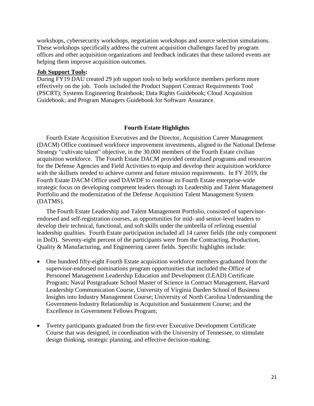workshops, cybersecurity workshops, negotiation workshops and source selection simulations. These workshops specifically address the current acquisition challenges faced by program offices and other acquisition organizations and feedback indicates that these tailored events are helping them improve acquisition outcomes.

## **Job Support Tools:**

During FY19 DAU created 29 job support tools to help workforce members perform more effectively on the job. Tools included the Product Support Contract Requirements Tool (PSCRT); Systems Engineering Brainbook; Data Rights Guidebook; Cloud Acquisition Guidebook; and Program Managers Guidebook for Software Assurance.

## **Fourth Estate Highlights**

Fourth Estate Acquisition Executives and the Director, Acquisition Career Management (DACM) Office continued workforce improvement investments, aligned to the National Defense Strategy "cultivate talent" objective, in the 30,000 members of the Fourth Estate civilian acquisition workforce. The Fourth Estate DACM provided centralized programs and resources for the Defense Agencies and Field Activities to equip and develop their acquisition workforce with the skillsets needed to achieve current and future mission requirements. In FY 2019, the Fourth Estate DACM Office used DAWDF to continue its Fourth Estate enterprise-wide strategic focus on developing competent leaders through its Leadership and Talent Management Portfolio and the modernization of the Defense Acquisition Talent Management System (DATMS).

The Fourth Estate Leadership and Talent Management Portfolio, consisted of supervisorendorsed and self-registration courses, as opportunities for mid- and senior-level leaders to develop their technical, functional, and soft skills under the umbrella of refining essential leadership qualities. Fourth Estate participation included all 14 career fields (the only component in DoD). Seventy-eight percent of the participants were from the Contracting, Production, Quality & Manufacturing, and Engineering career fields. Specific highlights include:

- One hundred fifty-eight Fourth Estate acquisition workforce members graduated from the supervisor-endorsed nominations program opportunities that included the Office of Personnel Management Leadership Education and Development (LEAD) Certificate Program; Naval Postgraduate School Master of Science in Contract Management, Harvard Leadership Communication Course, University of Virginia Darden School of Business Insights into Industry Management Course; University of North Carolina Understanding the Government-Industry Relationship in Acquisition and Sustainment Course; and the Excellence in Government Fellows Program;
- Twenty participants graduated from the first-ever Executive Development Certificate Course that was designed, in coordination with the University of Tennessee, to stimulate design thinking, strategic planning, and effective decision-making;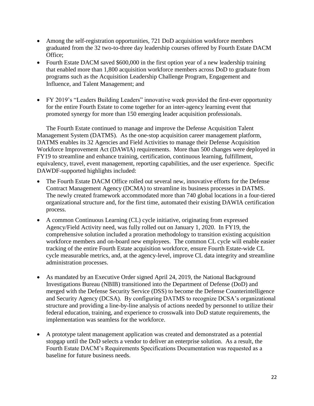- Among the self-registration opportunities, 721 DoD acquisition workforce members graduated from the 32 two-to-three day leadership courses offered by Fourth Estate DACM Office;
- Fourth Estate DACM saved \$600,000 in the first option year of a new leadership training that enabled more than 1,800 acquisition workforce members across DoD to graduate from programs such as the Acquisition Leadership Challenge Program, Engagement and Influence, and Talent Management; and
- FY 2019's "Leaders Building Leaders" innovative week provided the first-ever opportunity for the entire Fourth Estate to come together for an inter-agency learning event that promoted synergy for more than 150 emerging leader acquisition professionals.

The Fourth Estate continued to manage and improve the Defense Acquisition Talent Management System (DATMS). As the one-stop acquisition career management platform, DATMS enables its 32 Agencies and Field Activities to manage their Defense Acquisition Workforce Improvement Act (DAWIA) requirements. More than 500 changes were deployed in FY19 to streamline and enhance training, certification, continuous learning, fulfillment, equivalency, travel, event management, reporting capabilities, and the user experience. Specific DAWDF-supported highlights included:

- The Fourth Estate DACM Office rolled out several new, innovative efforts for the Defense Contract Management Agency (DCMA) to streamline its business processes in DATMS. The newly created framework accommodated more than 740 global locations in a four-tiered organizational structure and, for the first time, automated their existing DAWIA certification process.
- A common Continuous Learning (CL) cycle initiative, originating from expressed Agency/Field Activity need, was fully rolled out on January 1, 2020. In FY19, the comprehensive solution included a proration methodology to transition existing acquisition workforce members and on-board new employees. The common CL cycle will enable easier tracking of the entire Fourth Estate acquisition workforce, ensure Fourth Estate-wide CL cycle measurable metrics, and, at the agency-level, improve CL data integrity and streamline administration processes.
- As mandated by an Executive Order signed April 24, 2019, the National Background Investigations Bureau (NBIB) transitioned into the Department of Defense (DoD) and merged with the Defense Security Service (DSS) to become the Defense Counterintelligence and Security Agency (DCSA). By configuring DATMS to recognize DCSA's organizational structure and providing a line-by-line analysis of actions needed by personnel to utilize their federal education, training, and experience to crosswalk into DoD statute requirements, the implementation was seamless for the workforce.
- A prototype talent management application was created and demonstrated as a potential stopgap until the DoD selects a vendor to deliver an enterprise solution. As a result, the Fourth Estate DACM's Requirements Specifications Documentation was requested as a baseline for future business needs.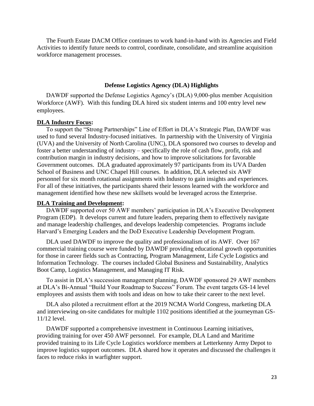The Fourth Estate DACM Office continues to work hand-in-hand with its Agencies and Field Activities to identify future needs to control, coordinate, consolidate, and streamline acquisition workforce management processes.

## **Defense Logistics Agency (DLA) Highlights**

DAWDF supported the Defense Logistics Agency's (DLA) 9,000-plus member Acquisition Workforce (AWF). With this funding DLA hired six student interns and 100 entry level new employees.

#### **DLA Industry Focus:**

To support the "Strong Partnerships" Line of Effort in DLA's Strategic Plan, DAWDF was used to fund several Industry-focused initiatives. In partnership with the University of Virginia (UVA) and the University of North Carolina (UNC), DLA sponsored two courses to develop and foster a better understanding of industry – specifically the role of cash flow, profit, risk and contribution margin in industry decisions, and how to improve solicitations for favorable Government outcomes. DLA graduated approximately 97 participants from its UVA Darden School of Business and UNC Chapel Hill courses. In addition, DLA selected six AWF personnel for six month rotational assignments with Industry to gain insights and experiences. For all of these initiatives, the participants shared their lessons learned with the workforce and management identified how these new skillsets would be leveraged across the Enterprise.

#### **DLA Training and Development:**

DAWDF supported over 50 AWF members' participation in DLA's Executive Development Program (EDP). It develops current and future leaders, preparing them to effectively navigate and manage leadership challenges, and develops leadership competencies. Programs include Harvard's Emerging Leaders and the DoD Executive Leadership Development Program.

DLA used DAWDF to improve the quality and professionalism of its AWF. Over 167 commercial training course were funded by DAWDF providing educational growth opportunities for those in career fields such as Contracting, Program Management, Life Cycle Logistics and Information Technology. The courses included Global Business and Sustainability, Analytics Boot Camp, Logistics Management, and Managing IT Risk.

To assist in DLA's succession management planning, DAWDF sponsored 29 AWF members at DLA's Bi-Annual "Build Your Roadmap to Success" Forum. The event targets GS-14 level employees and assists them with tools and ideas on how to take their career to the next level.

DLA also piloted a recruitment effort at the 2019 NCMA World Congress, marketing DLA and interviewing on-site candidates for multiple 1102 positions identified at the journeyman GS-11/12 level.

DAWDF supported a comprehensive investment in Continuous Learning initiatives, providing training for over 450 AWF personnel. For example, DLA Land and Maritime provided training to its Life Cycle Logistics workforce members at Letterkenny Army Depot to improve logistics support outcomes. DLA shared how it operates and discussed the challenges it faces to reduce risks in warfighter support.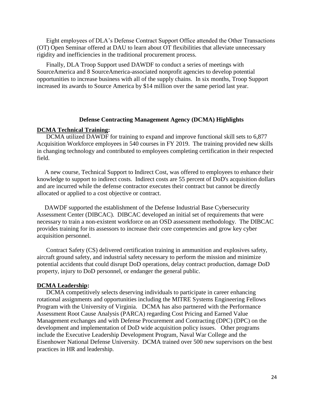Eight employees of DLA's Defense Contract Support Office attended the Other Transactions (OT) Open Seminar offered at DAU to learn about OT flexibilities that alleviate unnecessary rigidity and inefficiencies in the traditional procurement process.

Finally, DLA Troop Support used DAWDF to conduct a series of meetings with SourceAmerica and 8 SourceAmerica-associated nonprofit agencies to develop potential opportunities to increase business with all of the supply chains. In six months, Troop Support increased its awards to Source America by \$14 million over the same period last year.

## **Defense Contracting Management Agency (DCMA) Highlights**

#### **DCMA Technical Training:**

 DCMA utilized DAWDF for training to expand and improve functional skill sets to 6,877 Acquisition Workforce employees in 540 courses in FY 2019. The training provided new skills in changing technology and contributed to employees completing certification in their respected field.

 A new course, Technical Support to Indirect Cost, was offered to employees to enhance their knowledge to support to indirect costs. Indirect costs are 55 percent of DoD's acquisition dollars and are incurred while the defense contractor executes their contract but cannot be directly allocated or applied to a cost objective or contract.

 DAWDF supported the establishment of the Defense Industrial Base Cybersecurity Assessment Center (DIBCAC). DIBCAC developed an initial set of requirements that were necessary to train a non-existent workforce on an OSD assessment methodology. The DIBCAC provides training for its assessors to increase their core competencies and grow key cyber acquisition personnel.

 Contract Safety (CS) delivered certification training in ammunition and explosives safety, aircraft ground safety, and industrial safety necessary to perform the mission and minimize potential accidents that could disrupt DoD operations, delay contract production, damage DoD property, injury to DoD personnel, or endanger the general public.

#### **DCMA Leadership:**

DCMA competitively selects deserving individuals to participate in career enhancing rotational assignments and opportunities including the MITRE Systems Engineering Fellows Program with the University of Virginia. DCMA has also partnered with the Performance Assessment Root Cause Analysis (PARCA) regarding Cost Pricing and Earned Value Management exchanges and with Defense Procurement and Contracting (DPC) (DPC) on the development and implementation of DoD wide acquisition policy issues. Other programs include the Executive Leadership Development Program, Naval War College and the Eisenhower National Defense University. DCMA trained over 500 new supervisors on the best practices in HR and leadership.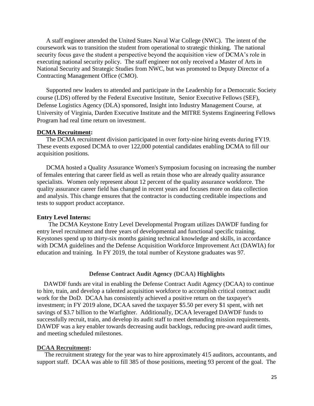A staff engineer attended the United States Naval War College (NWC). The intent of the coursework was to transition the student from operational to strategic thinking. The national security focus gave the student a perspective beyond the acquisition view of DCMA's role in executing national security policy. The staff engineer not only received a Master of Arts in National Security and Strategic Studies from NWC, but was promoted to Deputy Director of a Contracting Management Office (CMO).

Supported new leaders to attended and participate in the Leadership for a Democratic Society course (LDS) offered by the Federal Executive Institute, Senior Executive Fellows (SEF), Defense Logistics Agency (DLA) sponsored, Insight into Industry Management Course, at University of Virginia, Darden Executive Institute and the MITRE Systems Engineering Fellows Program had real time return on investment.

#### **DCMA Recruitment:**

The DCMA recruitment division participated in over forty-nine hiring events during FY19. These events exposed DCMA to over 122,000 potential candidates enabling DCMA to fill our acquisition positions.

DCMA hosted a Quality Assurance Women's Symposium focusing on increasing the number of females entering that career field as well as retain those who are already quality assurance specialists. Women only represent about 12 percent of the quality assurance workforce. The quality assurance career field has changed in recent years and focuses more on data collection and analysis. This change ensures that the contractor is conducting creditable inspections and tests to support product acceptance.

### **Entry Level Interns:**

The DCMA Keystone Entry Level Developmental Program utilizes DAWDF funding for entry level recruitment and three years of developmental and functional specific training. Keystones spend up to thirty-six months gaining technical knowledge and skills, in accordance with DCMA guidelines and the Defense Acquisition Workforce Improvement Act (DAWIA) for education and training. In FY 2019, the total number of Keystone graduates was 97.

## **Defense Contract Audit Agency (DCAA) Highlights**

DAWDF funds are vital in enabling the Defense Contract Audit Agency (DCAA) to continue to hire, train, and develop a talented acquisition workforce to accomplish critical contract audit work for the DoD. DCAA has consistently achieved a positive return on the taxpayer's investment; in FY 2019 alone, DCAA saved the taxpayer \$5.50 per every \$1 spent, with net savings of \$3.7 billion to the Warfighter. Additionally, DCAA leveraged DAWDF funds to successfully recruit, train, and develop its audit staff to meet demanding mission requirements. DAWDF was a key enabler towards decreasing audit backlogs, reducing pre-award audit times, and meeting scheduled milestones.

#### **DCAA Recruitment:**

 The recruitment strategy for the year was to hire approximately 415 auditors, accountants, and support staff. DCAA was able to fill 385 of those positions, meeting 93 percent of the goal. The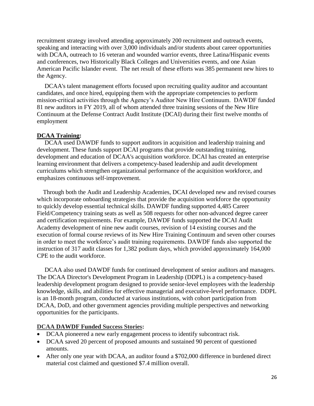recruitment strategy involved attending approximately 200 recruitment and outreach events, speaking and interacting with over 3,000 individuals and/or students about career opportunities with DCAA, outreach to 16 veteran and wounded warrior events, three Latina/Hispanic events and conferences, two Historically Black Colleges and Universities events, and one Asian American Pacific Islander event. The net result of these efforts was 385 permanent new hires to the Agency.

 DCAA's talent management efforts focused upon recruiting quality auditor and accountant candidates, and once hired, equipping them with the appropriate competencies to perform mission-critical activities through the Agency's Auditor New Hire Continuum. DAWDF funded 81 new auditors in FY 2019, all of whom attended three training sessions of the New Hire Continuum at the Defense Contract Audit Institute (DCAI) during their first twelve months of employment

## **DCAA Training:**

 DCAA used DAWDF funds to support auditors in acquisition and leadership training and development. These funds support DCAI programs that provide outstanding training, development and education of DCAA's acquisition workforce. DCAI has created an enterprise learning environment that delivers a competency-based leadership and audit development curriculums which strengthen organizational performance of the acquisition workforce, and emphasizes continuous self-improvement.

 Through both the Audit and Leadership Academies, DCAI developed new and revised courses which incorporate onboarding strategies that provide the acquisition workforce the opportunity to quickly develop essential technical skills. DAWDF funding supported 4,485 Career Field/Competency training seats as well as 508 requests for other non-advanced degree career and certification requirements. For example, DAWDF funds supported the DCAI Audit Academy development of nine new audit courses, revision of 14 existing courses and the execution of formal course reviews of its New Hire Training Continuum and seven other courses in order to meet the workforce's audit training requirements. DAWDF funds also supported the instruction of 317 audit classes for 1,382 podium days, which provided approximately 164,000 CPE to the audit workforce.

 DCAA also used DAWDF funds for continued development of senior auditors and managers. The DCAA Director's Development Program in Leadership (DDPL) is a competency-based leadership development program designed to provide senior-level employees with the leadership knowledge, skills, and abilities for effective managerial and executive-level performance. DDPL is an 18-month program, conducted at various institutions, with cohort participation from DCAA, DoD, and other government agencies providing multiple perspectives and networking opportunities for the participants.

# **DCAA DAWDF Funded Success Stories:**

- DCAA pioneered a new early engagement process to identify subcontract risk.
- DCAA saved 20 percent of proposed amounts and sustained 90 percent of questioned amounts.
- After only one year with DCAA, an auditor found a \$702,000 difference in burdened direct material cost claimed and questioned \$7.4 million overall.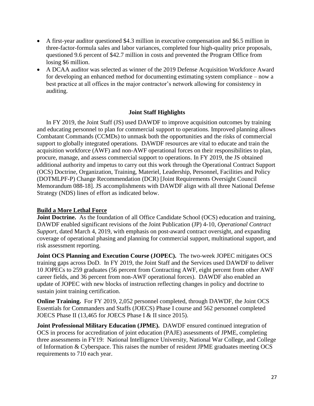- A first-year auditor questioned \$4.3 million in executive compensation and \$6.5 million in three-factor-formula sales and labor variances, completed four high-quality price proposals, questioned 9.6 percent of \$42.7 million in costs and prevented the Program Office from losing \$6 million.
- A DCAA auditor was selected as winner of the 2019 Defense Acquisition Workforce Award for developing an enhanced method for documenting estimating system compliance – now a best practice at all offices in the major contractor's network allowing for consistency in auditing.

# **Joint Staff Highlights**

In FY 2019, the Joint Staff (JS) used DAWDF to improve acquisition outcomes by training and educating personnel to plan for commercial support to operations. Improved planning allows Combatant Commands (CCMDs) to unmask both the opportunities and the risks of commercial support to globally integrated operations. DAWDF resources are vital to educate and train the acquisition workforce (AWF) and non-AWF operational forces on their responsibilities to plan, procure, manage, and assess commercial support to operations. In FY 2019, the JS obtained additional authority and impetus to carry out this work through the Operational Contract Support (OCS) Doctrine, Organization, Training, Materiel, Leadership, Personnel, Facilities and Policy (DOTMLPF-P) Change Recommendation (DCR) [Joint Requirements Oversight Council Memorandum 088-18]. JS accomplishments with DAWDF align with all three National Defense Strategy (NDS) lines of effort as indicated below.

# **Build a More Lethal Force**

**Joint Doctrine.** As the foundation of all Office Candidate School (OCS) education and training, DAWDF enabled significant revisions of the Joint Publication (JP) 4-10, *Operational Contract Support*, dated March 4, 2019, with emphasis on post-award contract oversight, and expanding coverage of operational phasing and planning for commercial support, multinational support, and risk assessment reporting.

**Joint OCS Planning and Execution Course (JOPEC).** The two-week JOPEC mitigates OCS training gaps across DoD. In FY 2019, the Joint Staff and the Services used DAWDF to deliver 10 JOPECs to 259 graduates (56 percent from Contracting AWF, eight percent from other AWF career fields, and 36 percent from non-AWF operational forces). DAWDF also enabled an update of JOPEC with new blocks of instruction reflecting changes in policy and doctrine to sustain joint training certification.

**Online Training.** For FY 2019, 2,052 personnel completed, through DAWDF, the Joint OCS Essentials for Commanders and Staffs (JOECS) Phase I course and 562 personnel completed JOECS Phase II (13,465 for JOECS Phase I & II since 2015).

**Joint Professional Military Education (JPME).** DAWDF ensured continued integration of OCS in process for accreditation of joint education (PAJE) assessments of JPME, completing three assessments in FY19: National Intelligence University, National War College, and College of Information & Cyberspace. This raises the number of resident JPME graduates meeting OCS requirements to 710 each year.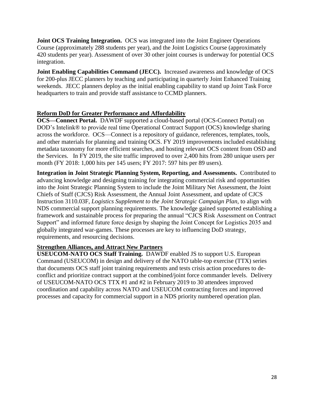**Joint OCS Training Integration.** OCS was integrated into the Joint Engineer Operations Course (approximately 288 students per year), and the Joint Logistics Course (approximately 420 students per year). Assessment of over 30 other joint courses is underway for potential OCS integration.

**Joint Enabling Capabilities Command (JECC).** Increased awareness and knowledge of OCS for 200-plus JECC planners by teaching and participating in quarterly Joint Enhanced Training weekends. JECC planners deploy as the initial enabling capability to stand up Joint Task Force headquarters to train and provide staff assistance to CCMD planners.

# **Reform DoD for Greater Performance and Affordability**

**OCS—Connect Portal.** DAWDF supported a cloud-based portal (OCS-Connect Portal) on DOD's Intelink® to provide real time Operational Contract Support (OCS) knowledge sharing across the workforce. OCS—Connect is a repository of guidance, references, templates, tools, and other materials for planning and training OCS. FY 2019 improvements included establishing metadata taxonomy for more efficient searches, and hosting relevant OCS content from OSD and the Services. In FY 2019, the site traffic improved to over 2,400 hits from 280 unique users per month (FY 2018: 1,000 hits per 145 users; FY 2017: 597 hits per 89 users).

**Integration in Joint Strategic Planning System, Reporting, and Assessments.** Contributed to advancing knowledge and designing training for integrating commercial risk and opportunities into the Joint Strategic Planning System to include the Joint Military Net Assessment, the Joint Chiefs of Staff (CJCS) Risk Assessment, the Annual Joint Assessment, and update of CJCS Instruction 3110.03F, *Logistics Supplement to the Joint Strategic Campaign Plan*, to align with NDS commercial support planning requirements. The knowledge gained supported establishing a framework and sustainable process for preparing the annual "CJCS Risk Assessment on Contract Support" and informed future force design by shaping the Joint Concept for Logistics 2035 and globally integrated war-games. These processes are key to influencing DoD strategy, requirements, and resourcing decisions.

# **Strengthen Alliances, and Attract New Partners**

**USEUCOM-NATO OCS Staff Training.** DAWDF enabled JS to support U.S. European Command (USEUCOM) in design and delivery of the NATO table-top exercise (TTX) series that documents OCS staff joint training requirements and tests crisis action procedures to deconflict and prioritize contract support at the combined/joint force commander levels. Delivery of USEUCOM-NATO OCS TTX #1 and #2 in February 2019 to 30 attendees improved coordination and capability across NATO and USEUCOM contracting forces and improved processes and capacity for commercial support in a NDS priority numbered operation plan.